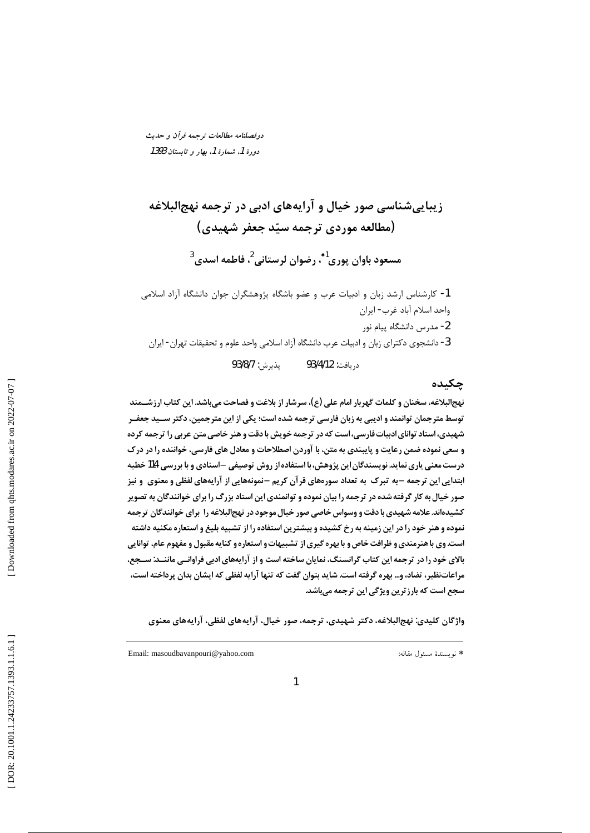دوفصلنامه مطالعات ترجمه قرآن و حديث دورهٔ 1، شمارهٔ 1، بهار و تابستان 1393

زیباییشناسی صور خیال و آرایههای ادبی در ترجمه نهجالبلاغه (مطالعه موردي ترجمه سيّد جعفر شهيدي) مسعود باوان پوری<sup>1</sup>\* رضوان لرستانی<sup>2</sup>، فاطمه اسدی<sup>3</sup> 1- كارشناس ارشد زبان و ادبيات عرب و عضو باشگاه پژوهشگران جوان دانشگاه آزاد اسلامی واحد اسلام آباد غرب- ايران 2- مدرس دانشگاه پیام نور

3- دانشجوی دکترای زبان و ادبیات عرب دانشگاه آزاد اسلامی واحد علوم و تحقیقات تهران - ایران

يذيرش: 93/8/7 د. بافت: 93/4/12

### چکیده

نهج|لبلاغه، سخنان و کلمات گهربار امام علی (ع)، سرشار از بلاغت و فصاحت میباشد. این کتاب ارزشــمند توسط مترجمان توانمند و ادیبی به زبان فارسی ترجمه شده است؛ یکی از این مترجمین، دکتر ســید جعفــر شهیدی، استاد توانای ادبیات فارسی، است که در ترجمه خویش با دقت و هنر خاصی متن عربی را ترجمه کرده و سعی نموده ضمن رعایت و پایبندی به متن، با آوردن اصطلاحات و معادل های فارسی، خواننده را در درک درست معنی پاری نماید. نویسندگان این پژوهش، با استفاده از روش توصیفی –اسنادی و با بررسی 114 خطبه ابتدایی این ترجمه -به تبرک به تعداد سورههای قرآن کریم -نمونههایی از آرایههای لفظی و معنوی ًو نیز صور خیال به کار گرفته شده در ترجمه را بیان نموده و توانمندی این استاد بزرگ را برای خوانندگان به تصویر کشیدهاند. علامه شهیدی با دقت و وسواس خاصی صور خیال موجود در نهجالبلاغه را برای خوانندگان ترجمه نموده و هنر خود را در این زمینه به رخ کشیده و بیشترین استفاده را از تشبیه بلیغ و استعاره مکنیه داشته است.وی با هنرمندی و ظرافت خاص و با بهره گیری از تشبیهات و استعاره و کنایه مقبول و مفهوم عام، توانایی بالای خود را در ترجمه این کتاب گرانسنگ، نمایان ساخته است و از آرایههای ادبی فراوانــی ماننــد: ســجع، مراعاتنظیر، تضاد، و… بهره گرفته است. شاید بتوان گفت که تنها آرایه لفظی که ایشان بدان پرداخته است، سجع است که بارز ترین ویژگی این ترجمه می باشد.

واژگان کلیدی: نهجالبلاغه، دکتر شهیدی، ترجمه، صور خیال، آرایههای لفظی، آرایههای معنوی

\* نويسندهٔ مسئول مقاله: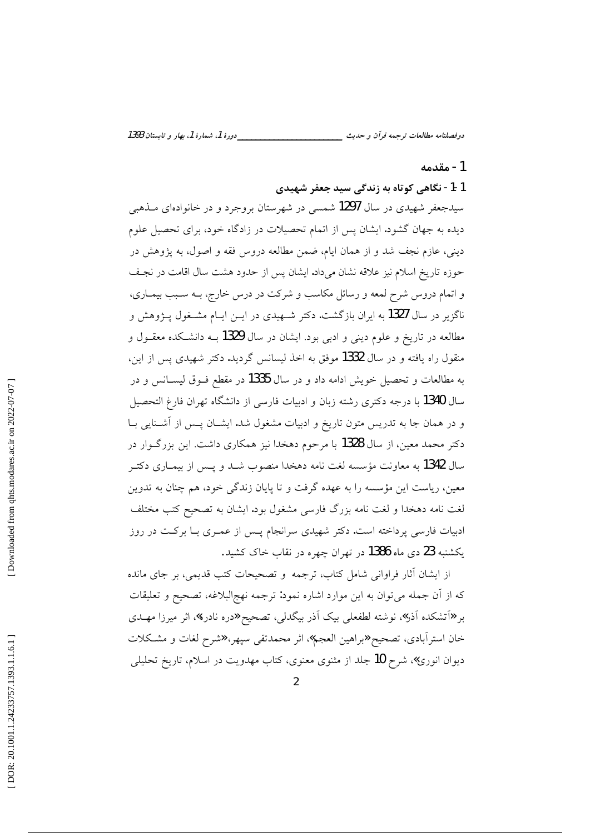دورهٔ 1، شمارهٔ 1، بهار و تابستان 1393 دوفصلنامه مطالعات ترجمه قرآن و حديث \_

#### 1- مقدمه

### 1-1- نگاهی کوتاه به زندگی سید جعفر شهیدی

سیدجعفر شهیدی در سال 1297 شمسی در شهرستان بروجرد و در خانوادهای مـذهبی دیده به جهان گشود. ایشان پس از اتمام تحصیلات در زادگاه خود، برای تحصیل علوم دینی، عازم نجف شد و از همان ایام، ضمن مطالعه دروس فقه و اصول، به پژوهش در حوزه تاریخ اسلام نیز علاقه نشان میداد. ایشان پس از حدود هشت سال اقامت در نجف و اتمام دروس شرح لمعه و رسائل مکاسب و شرکت در درس خارج، بــه سـبب بیمــاری، ناگزیر در سال 1327 به ایران بازگشت. دکتر شـهیدی در ایــن ایــام مشــغول پــژوهش و مطالعه در تاریخ و علوم دینی و ادبی بود. ایشان در سال 1329 بــه دانشـکده معقــول و منقول راه یافته و در سال 1332 موفق به اخذ لیسانس گردید. دکتر شهیدی پس از این، به مطالعات و تحصیل خویش ادامه داد و در سال 1335 در مقطع فــوق لیســانس و در سال 1340 با درجه دکتری رشته زبان و ادبیات فارسی از دانشگاه تهران فارغ التحصیل و در همان جا به تدریس متون تاریخ و ادبیات مشغول شد. ایشـان پـس از آشـنایی بـا دکتر محمد معین، از سال 1328 با مرحوم دهخدا نیز همکاری داشت. این بزرگـوار در سال 1342 به معاونت مؤسسه لغت نامه دهخدا منصوب شــد و پــس از بیمــاری دکتــر معین، ریاست این مؤسسه را به عهده گرفت و تا پایان زندگی خود، هم چنان به تدوین لغت نامه دهخدا و لغت نامه بزرگ فارسی مشغول بود. ایشان به تصحیح کتب مختلف ادبیات فارسی پرداخته است. دکتر شهیدی سرانجام پس از عمـری بـا برکـت در روز یکشنبه 23 دی ماه 1386 در تهران چهره در نقاب خاک کشید.

از ایشان أثار فراوانی شامل کتاب، ترجمه و تصحیحات کتب قدیمی، بر جای مانده که از أن جمله می توان به این موارد اشاره نمود: ترجمه نهج|لبلاغه، تصحیح و تعلیقات بر «آتشکده آذر»، نوشته لطفعلی بیک آذر بیگدلی، تصحیح «دره نادره»، اثر میرزا مهــدی خان استرآبادي، تصحيح «براهين العجم»، اثر محمدتقى سپهر، «شرح لغات و مشكلات دیوان انوری»، شرح **10** جلد از مثنوی معنوی، کتاب مهدویت در اسلام، تاریخ تحلیل<sub>ی</sub>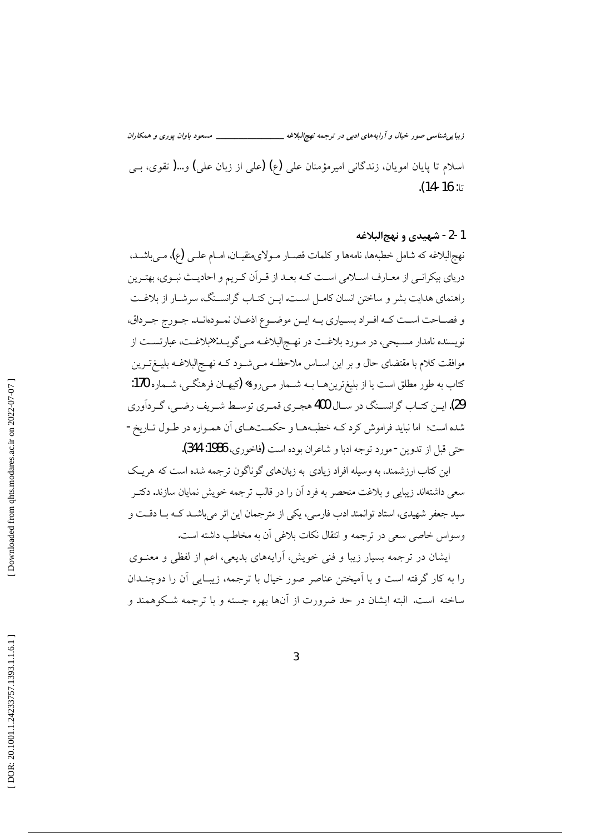زیبایی شناسی صور خیال و آرایههای ادبی در ترجمه نهجالبلاغه \_ \_\_\_\_ مسعود باوان يوري و همكاران اسلام تا پایان امویان، زندگانی امیرمؤمنان علی (ع) (علی از زبان علی) و…( تقوی، بسی تا: 16-14).

### 1-2- شهيدي و نهج البلاغه

نهج|لبلاغه که شامل خطبهها، نامهها و کلمات قصــار مــولای&تقیــان، امــام علــی (ع)، مــی باشــد. دریای بیکرانبی از معـارف اسـلامی اسـت کــه بعــد از قــر آن کــریم و احادیــث نبــوی، بهتـرین راهنمای هدایت بشر و ساختن انسان کامـل اسـت. ایــن کتــاب گرانســنگ، سرشــار از بلاغــت و فصــاحت اســت كــه افــراد بســياري بــه ايــن موضــوع اذعــان نمــودهانــد. جــورج جــرداق، نویسنده نامدار مسیحی، در مورد بلاغت در نهج البلاغه مـی گویـد: «بلاغـت، عبارتسـت از موافقت کلام با مقتضای حال و بر این اســاس ملاحظـه مــیشــود کــه نهــج|لبلاغــه بلیــغتــرین كتاب به طور مطلق است يا از بليغترينهـا بــه شــمار مــيرود» (كيهــان فرهنگــي، شــماره 170: 29). ايــن كتــاب گرانســنگ در ســال 400 هجـري قمـري توسـط شــريف رضــي، گــردآوري شده است؛ اما نباید فراموش کرد کـه خطبـههــا و حکمــتهــای اَن همــواره در طــول تــاریخ -حتى قبل از تدوين - مورد توجه ادبا و شاعران بوده است (فاخوري، 1986: 344).

این کتاب ارزشمند، به وسیله افراد زیادی به زبانهای گوناگون ترجمه شده است که هریک سعی داشتهاند زیبایی و بلاغت منحصر به فرد آن را در قالب ترجمه خویش نمایان سازند. دکتـر سید جعفر شهیدی، استاد توانمند ادب فارسی، یکی از مترجمان این اثر میباشـد کـه بـا دقـت و وسواس خاصي سعي در ترجمه و انتقال نكات بلاغي آن به مخاطب داشته است.

ایشان در ترجمه بسیار زیبا و فنی خویش، آرایههای بدیعی، اعم از لفظی و معنــوی را به کار گرفته است و با آمیختن عناصر صور خیال با ترجمه، زیبـایی آن را دوچنــدان ساخته است. البته ایشان در حد ضرورت از آنها بهره جسته و با ترجمه شـکوهمند و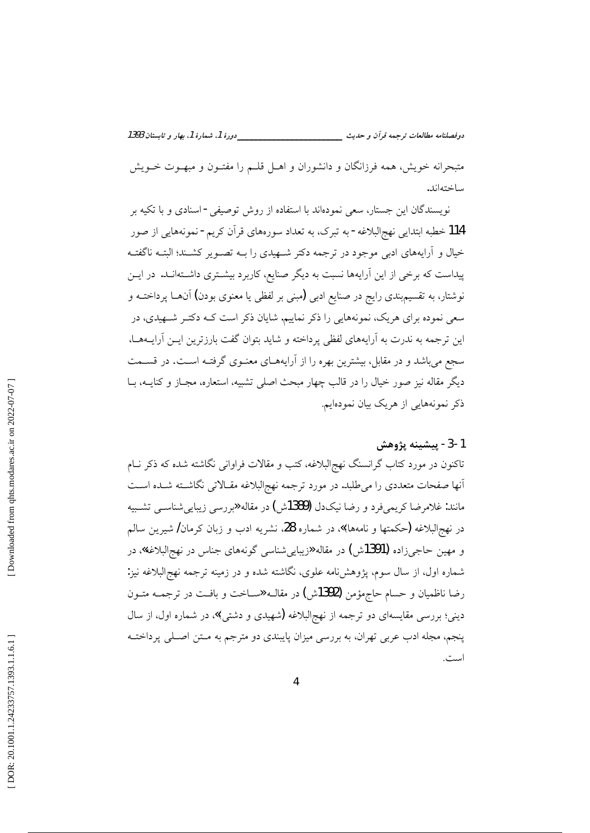\_\_دورهٔ 1، شمارهٔ 1، بهار و تابستان 1393 دوفصلنامه مطالعات ترجمه قرأن و حديث ــــــــــــ

متبحرانه خویش، همه فرزانگان و دانشوران و اهــل قلــم را مفتــون و مبهــوت خــویش ساختهاند.

نویسندگان این جستار، سعی نمودهاند با استفاده از روش توصیفی - اسنادی و با تکیه بر 114 خطبه ابتدایی نهجالبلاغه - به تبرک، به تعداد سورههای قرآن کریم - نمونههایی از صور خیال و آرایههای ادبی موجود در ترجمه دکتر شـهیدی را بـه تصـویر کشـند؛ البتـه ناگفتـه پیداست که برخی از این آرایهها نسبت به دیگر صنایع، کاربرد بیشـتری داشـتهانـد. در ایــن نوشتار، به تقسیمبندی رایج در صنایع ادبی (مبنی بر لفظی یا معنوی بودن) آنهــا پرداختــه و سعی نموده برای هریک، نمونههایی را ذکر نماییم. شایان ذکر است کـه دکتـر شـهیدی، در این ترجمه به ندرت به آرایههای لفظی پرداخته و شاید بتوان گفت بارزترین ایــن آرایــههــا، سجع می باشد و در مقابل، بیشترین بهره را از آرایههـای معنـوی گرفتـه اسـت. در قسـمت دیگر مقاله نیز صور خیال را در قالب چهار مبحث اصلی تشبیه، استعاره، مجـاز و کنایــه، بــا ذکر نمونههایی از هریک بیان نمودهایم.

### 1-3- پيشينه پژوهش

تاکنون در مورد کتاب گرانسنگ نهجِالبلاغه، کتب و مقالات فراوانی نگاشته شده که ذکر نــام أنها صفحات متعددي را مىطلبد. در مورد ترجمه نهج البلاغه مقـالاتى نگاشــته شــده اســت مانند: غلامرضا کریمیفرد و رضا نیکدل **(1389**ش) در مقاله «بررسی زیباییشناســی تشــبیه در نهج|لبلاغه (حکمتها و نامهها)» در شماره 28، نشریه ادب و زبان کرمان/ شیرین سالم و مهين حاجيزاده **(1391**ش) در مقاله «زيبايي شناسي گونههاي جناس در نهجالبلاغه»، در شماره اول، از سال سوم، یژوهش نامه علوی، نگاشته شده و در زمینه ترجمه نهج|لبلاغه نیز: رضا ناظمیان و حسام حاجمؤمن (1392ش) در مقالــه «ســاخت و بافــت در ترجمــه متــون دینی؛ بررسی مقایسهای دو ترجمه از نهجالبلاغه (شهیدی و دشتی)» در شماره اول، از سال پنجم، مجله ادب عربی تهران، به بررسی میزان پایبندی دو مترجم به مـتن اصـلی پرداختــه است.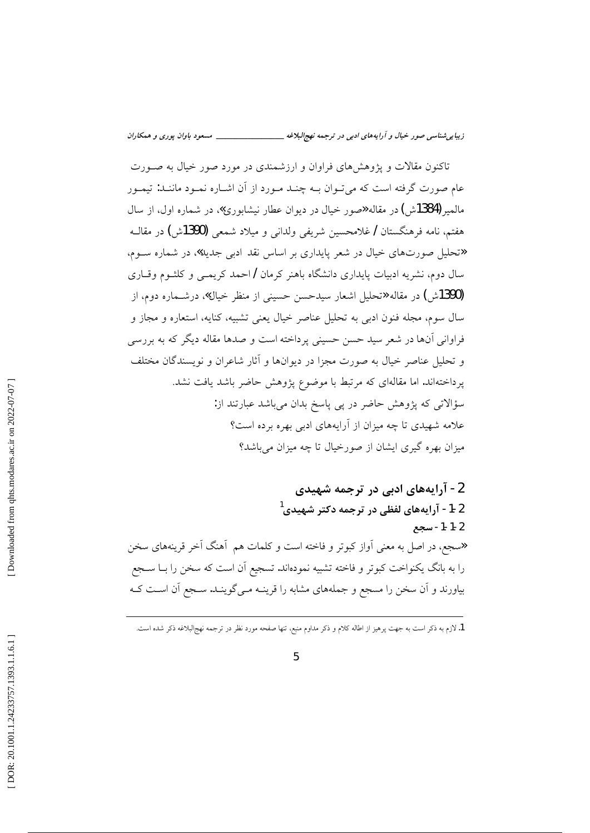تاکنون مقالات و پژوهشهای فراوان و ارزشمندی در مورد صور خیال به صـورت عام صورت گرفته است که میتوان بـه چنـد مـورد از آن اشـاره نمـود ماننـد: تیمـور مالمیر (1384ش) در مقاله «صور خیال در دیوان عطار نیشابوری»، در شماره اول، از سال هفتم، نامه فرهنگستان / غلامحسین شریفی ولدانی و میلاد شمعی (1390ش) در مقالــه «تحلیل صورتهای خیال در شعر پایداری بر اساس نقد ادب<sub>ی</sub> جدید»، در شماره سـوم، سال دوم، نشریه ادبیات پایداری دانشگاه باهنر کرمان /احمد کریمـی و کلشـوم وقــاری (1390ش) در مقاله «تحلیل اشعار سیدحسن حسینی از منظر خیال»، درشــماره دوم، از سال سوم، مجله فنون ادبی به تحلیل عناصر خیال یعنی تشبیه، کنایه، استعاره و مجاز و فراوانی آنها در شعر سید حسن حسینی پرداخته است و صدها مقاله دیگر که به بررسی و تحلیل عناصر خیال به صورت مجزا در دیوانها و آثار شاعران و نویسندگان مختلف پرداختهاند. اما مقالهای که مرتبط با موضوع پژوهش حاضر باشد یافت نشد. سؤالاتی که پژوهش حاضر در پی پاسخ بدان میباشد عبارتند از: علامه شهیدی تا چه میزان از آرایههای ادبی بهره برده است؟ میزان بهره گیری ایشان از صورخیال تا چه میزان میباشد؟

2- آرایههای ادبی در ترجمه شهیدی 2-1- آرایههای لفظی در ترجمه دکتر شهیدی<sup>1</sup> 2-1-1- سحع «سجع، در اصل به معنى آواز كبوتر و فاخته است و كلمات هم آهنگ آخر قرینههای سخن را به بانگ یکنواخت کبوتر و فاخته تشبیه نمودهاند. تسجیع آن است که سخن را بــا ســجع بیاورند و آن سخن را مسجع و جملههای مشابه را قرینـه مـی گوینـد. سـجع آن اسـت کـه

 $\overline{5}$ 

<sup>1.</sup> لازم به ذکر است به جهت پرهیز از اطاله کلام و ذکر مداوم منبع، تنها صفحه مورد نظر در ترجمه نهج|لبلاغه ذکر شده است.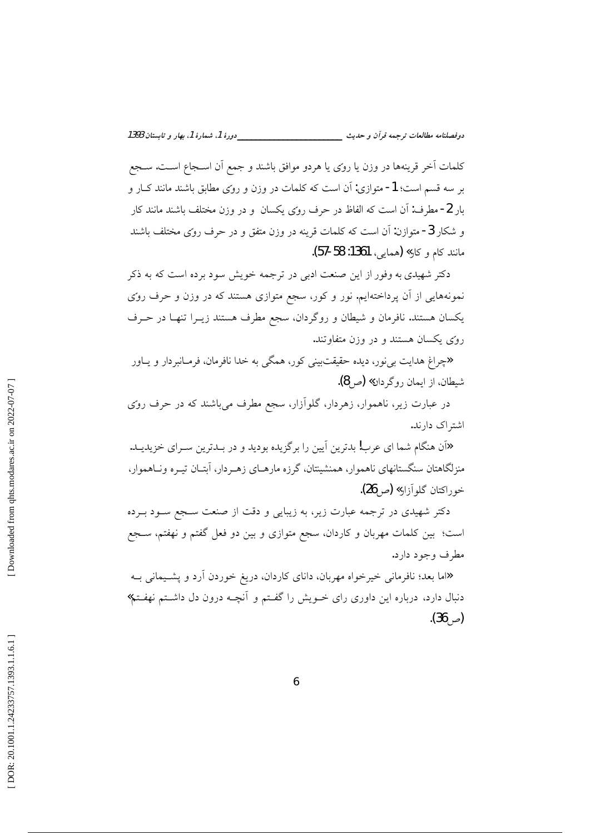\_\_دورهٔ 1، شمارهٔ 1، بهار و تابستان 1393 دوفصلنامه مطالعات ترجمه قرأن و حديث \_\_\_\_\_\_\_\_\_\_\_\_\_

كلمات اًخر قرينهها در وزن يا روى يا هردو موافق باشند و جمع اّن اســجاع اسـت. ســجع بر سه قسم است؛ 1- متوازى: آن است كه كلمات در وزن و روى مطابق باشند مانند كـار و بار 2- مطرف: اَن است که الفاظ در حرف روی یکسان و در وزن مختلف باشند مانند کار و شکار 3- متوازن: آن است که کلمات قرینه در وزن متفق و در حرف روی مختلف باشند مانند كام و كار**» (**همايي، 1361: 58-57).

دکتر شهیدی به وفور از این صنعت ادبی در ترجمه خویش سود برده است که به ذکر نمونههایی از آن پرداختهایم. نور و کور، سجع متوازی هستند که در وزن و حرف روی یکسان هستند. نافرمان و شیطان و روگردان، سجع مطرف هستند زیـرا تنهـا در حـرف روسی یکسان هستند و در وزن متفاوتند.

**«**چراغ هدایت بی نور، دیده حقیقتبینی کور، همگی به خدا نافرمان، فرمـانبردار و پــاور شيطان، از ايمان روگر دان**» (**ص8).

در عبارت زیر، ناهموار، زهردار، گلوأزار، سجع مطرف میباشند که در حرف روی اشتراک دارند.

«اَن هنگام شما ای عرب! بدترین اَیین را برگزیده بودید و در بـدترین سـرای خزیدیـد. منزلگاهتان سنگستانهای ناهموار، همنشینتان، گرزه مارهـای زهـردار، آبتــان تیــره ونــاهموار، خو راکتان گلو آزار» (ص **26).** 

دکتر شهیدی در ترجمه عبارت زیر، به زیبایی و دقت از صنعت سـجع سـود بـرده است؛ بین کلمات مهربان و کاردان، سجع متوازی و بین دو فعل گفتم و نهفتم، سـجع مطرف وجود دارد.

«اما بعد؛ نافرمانی خیرخواه مهربان، دانای کاردان، دریغ خوردن آرد و پشـیمانی بــه دنبال دارد، درباره این داوری رای خــویش را گفــتم و آنچــه درون دل داشــتم نهفــتم**»**  $(36)$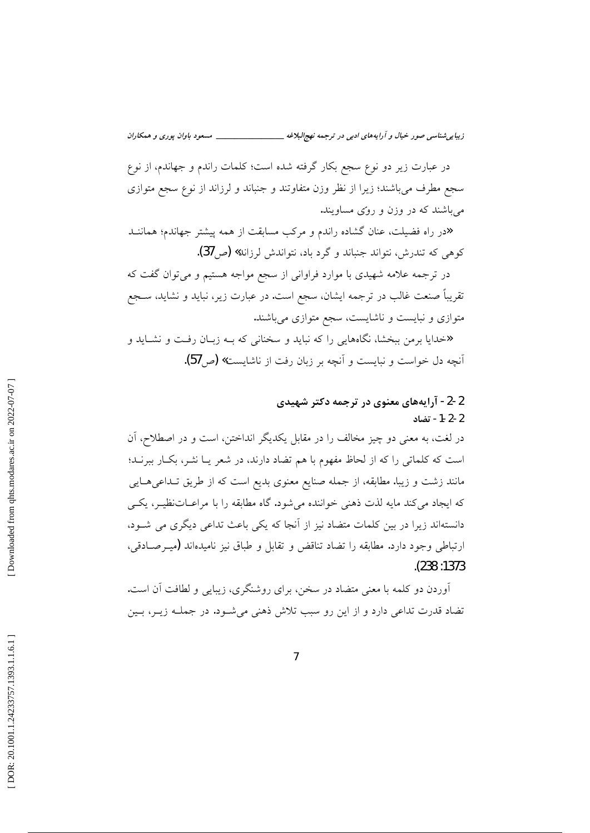زیبا بی شناسی صور خیال و آرایههای ادبی در ترجمه نهج لبلاغه \_\_\_\_\_\_\_\_\_\_\_\_\_\_\_\_\_\_ مسعود باوان پوری و همکاران

در عبارت زیر دو نوع سجع بکار گرفته شده است؛ کلمات راندم و جهاندم، از نوع سجع مطرف میباشند؛ زیرا از نظر وزن متفاوتند و جنباند و لرزاند از نوع سجع متوازی می باشند که در وزن و روّی مساویند.

«در راه فضیلت، عنان گشاده راندم و مرکب مسابقت از همه پیشتر جهاندم؛ هماننــد کوهی که تندرش، نتواند جنباند و گرد باد، نتواندش لرزاند**» (ص37).** 

در ترجمه علامه شهیدی با موارد فراوانی از سجع مواجه هستیم و میتوان گفت که تقریباً صنعت غالب در ترجمه ایشان، سجع است. در عبارت زیر، نباید و نشاید، ســجع متوازی و نبایست و ناشایست، سجع متوازی میباشند.

د.<br>اخدایا برمن ببخشا، نگاههایی را که نباید و سخنانی که بــه زبــان رفــت و نشــاید و آنچه دل خواست و نبایست و آنچه بر زبان رفت از ناشایست» (ص57).

## 2-2- آرایههای معنوی در ترجمه دکتر شهیدی 2-2-1- تضاد

در لغت، به معنی دو چیز مخالف را در مقابل یکدیگر انداختن، است و در اصطلاح، آن است که کلماتی را که از لحاظ مفهوم با هم تضاد دارند، در شعر یـا نشـر، بکـار ببرنـد؛ مانند زشت و زیبا. مطابقه، از جمله صنایع معنوی بدیع است که از طریق تـداعیهـایی که ایجاد میکند مایه لذت ذهنی خواننده می شود. گاه مطابقه را با مراعـاتنظیـر، یکـی دانستهاند زیرا در بین کلمات متضاد نیز از آنجا که یکی باعث تداعی دیگری می شـود، ارتباطي وجود دارد. مطابقه را تضاد تناقض و تقابل و طباق نيز ناميدهاند (ميـرصـادقي،  $. (238:1373)$ 

آوردن دو کلمه با معنی متضاد در سخن، برای روشنگری، زیبایی و لطافت آن است. تضاد قدرت تداعی دارد و از این رو سبب تلاش ذهنی می شـود. در جملـه زیـر، بـین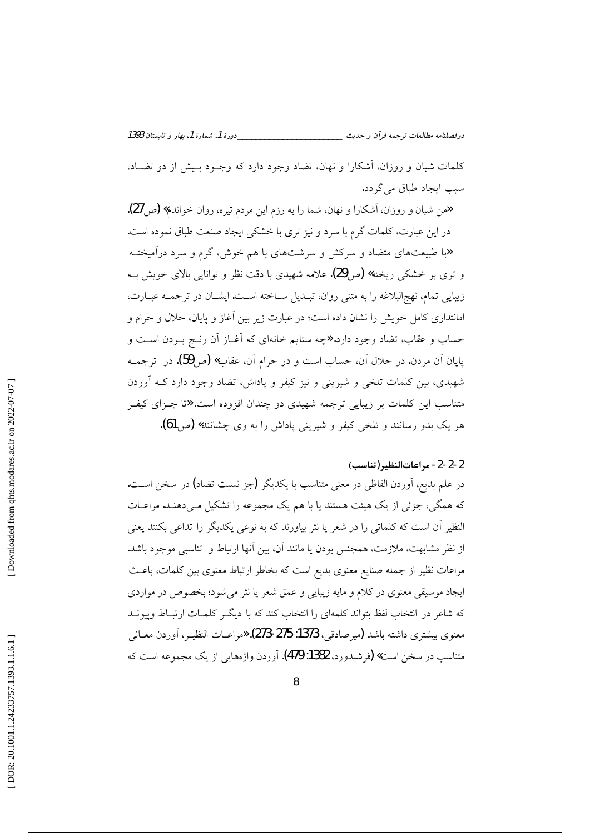\_\_\_\_دورهٔ 1، شمارهٔ 1، بهار و تابستان 1393 دوفصلنامه مطالعات ترجمه قرأن و حديث \_\_\_\_\_\_\_

كلمات شبان و روزان، آشكارا و نهان، تضاد وجود دارد كه وجـود بـيش از دو تضـاد، سبب ايجاد طباق مي گردد.

همن شبان و روزان، آشکارا و نهان، شما را به رزم این مردم تیره، روان خواندم**» (ص 27).** در این عبارت، کلمات گرم با سرد و نیز تری با خشکی ایجاد صنعت طباق نموده است. «با طبیعتهای متضاد و سرکش و سرشتهای با هم خوش، گرم و سرد درآمیختــه و تری بر خشکی ریخته**» (ص29).** علامه شهیدی با دقت نظر و توانایی بالای خویش بـه زيبايي تمام، نهجالبلاغه را به متني روان، تبـديل ســاخته اســت. ايشــان در ترجمــه عبــارت، امانتداری کامل خویش را نشان داده است؛ در عبارت زیر بین آغاز و پایان، حلال و حرام و حساب و عقاب، تضاد وجود دارد. «چه ستایم خانهای که آغــاز آن رنــج بــردن اســت و پایان آن مردن. در حلال آن، حساب است و در حرام آن، عقاب**» (**ص59). در ترجمــه شهیدی، بین کلمات تلخی و شیرینی و نیز کیفر و پاداش، تضاد وجود دارد کـه آوردن متناسب این کلمات بر زیبایی ترجمه شهیدی دو چندان افزوده است. «تا جـزای کیفـر هر یک بدو رسانند و تلخی کیفر و شیرینی یاداش را به وی چشانند**» (ص 61).** 

### 2-2-2- مراعات النظير (تناسب)

در علم بدیع، اَوردن الفاظی در معنی متناسب با یکدیگر (جز نسبت تضاد) در سخن اسـت. که همگی، جزئی از یک هیئت هستند یا با هم یک مجموعه را تشکیل مـیدهنـد. مراعـات النظیر آن است که کلماتی را در شعر یا نثر بیاورند که به نوعی یکدیگر را تداعی بکنند یعنی از نظر مشابهت، ملازمت، همجنس بودن یا مانند آن، بین آنها ارتباط و تناسبی موجود باشد. مراعات نظیر از جمله صنایع معنوی بدیع است که بخاطر ارتباط معنوی بین کلمات، باعث ایجاد موسیقی معنوی در کلام و مایه زیبایی و عمق شعر یا نثر می شود؛ بخصوص در مواردی که شاعر در انتخاب لفظ بتواند کلمهای را انتخاب کند که با دیگه کلمـات ارتبـاط وییونــد معنوي بيشتري داشته باشد (ميرصادقي، 1373: 275-273). «مراعــات النظيــر، أوردن معــاني متناسب در سخن است» (فرشیدورد، 1382: 479). آوردن واژههایی از یک مجموعه است که

8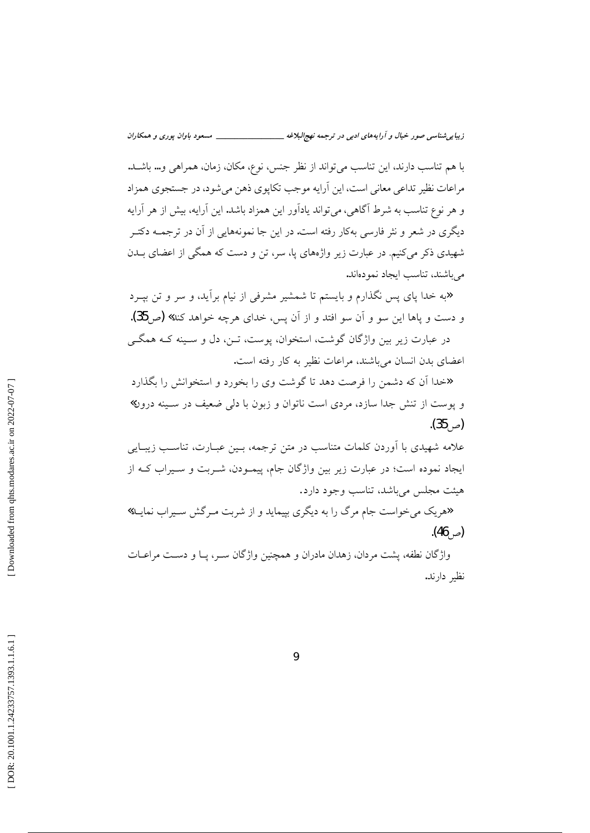زیبایی شناسی صور خیال و آرایههای ادبی در ترجمه نهجالبلاغه \_ \_\_\_\_\_\_\_\_\_\_ مسعود باوان يوري و همكاران

با هم تناسب دارند، این تناسب می تواند از نظر جنس، نوع، مکان، زمان، همراهی و… باشــد. مراعات نظیر تداعی معانی است، این آرایه موجب تکاپوی ذهن میشود، در جستجوی همزاد و هر نوع تناسب به شرط آگاهی، می تواند یادآور این همزاد باشد. این آرایه، بیش از هر آرایه دیگری در شعر و نثر فارسی بهکار رفته است. در این جا نمونههایی از آن در ترجمــه دکتــر شهیدی ذکر می کنیم. در عبارت زیر واژههای یا، سر، تن و دست که همگی از اعضای بــدن می باشند، تناسب ایجاد نمودهاند.

«به خدا پای پس نگذارم و بایستم تا شمشیر مشرفی از نیام برآید، و سر و تن بیــرد و دست و ياها اين سو و آن سو افتد و از آن پس، خداي هرچه خواهد كند**» (**ص35). در عبارت زیر بین واژگان گوشت، استخوان، پوست، تــن، دل و ســینه کــه همگــی

اعضای بدن انسان میباشند، مراعات نظیر به کار رفته است.

«خدا اّن که دشمن را فرصت دهد تا گوشت وی را بخورد و استخوانش را بگذارد و پوست از تنش جدا سازد، مردی است ناتوان و زبون با دل<sub>ی</sub> ضعیف در سـینه درون»  $(35)$ 

علامه شهیدی با اوردن کلمات متناسب در متن ترجمه، بـین عبــارت، تناسـب زیبــایی ایجاد نموده است؛ در عبارت زیر بین واژگان جام، پیمـودن، شــربت و ســیراب کــه از هيئت مجلس مي باشد، تناسب وجود دارد.

«هریک می خواست جام مرگ را به دیگری بپیماید و از شربت مـرگش سـیراب نمایــد»  $(46)$ 

واژگان نطفه، پشت مردان، زهدان مادران و همچنین واژگان سـر، پـا و دسـت مراعـات نظير دارند.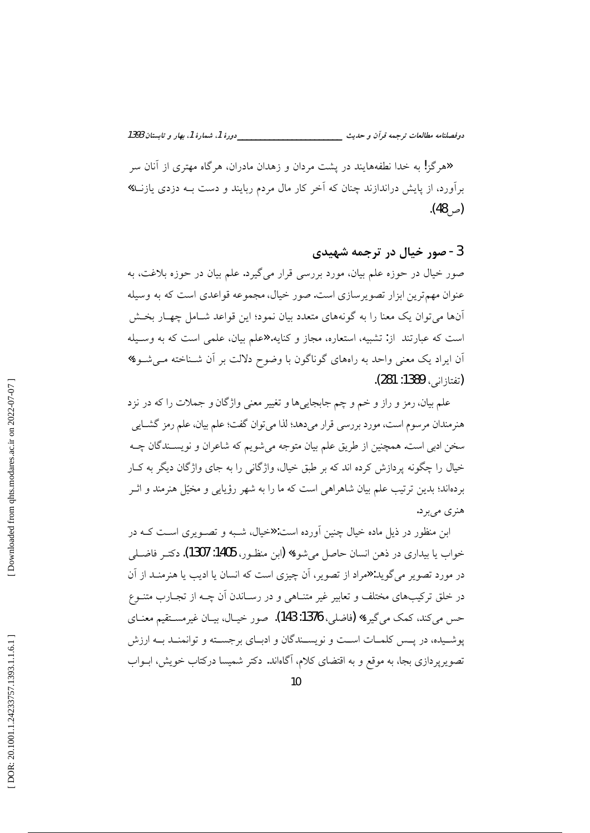\_\_دورهٔ 1، شمارهٔ 1، بهار و تابستان 1393 دوفصلنامه مطالعات ترجمه قرأن و حديث ـــــــــــ

«هرگز! به خدا نطفههایند در یشت مردان و زهدان مادران، هرگاه مهتری از آنان سر برآورد، از پایش دراندازند چنان که آخر کار مال مردم ربایند و دست بــه دزدی یازنــد**»** ( $(48, 4)$ ).

### 3- صور خيال در ترجمه شهيدي

صور خیال در حوزه علم بیان، مورد بررسی قرار میگیرد. علم بیان در حوزه بلاغت، به عنوان مهم ترین ابزار تصویر سازی است. صور خیال، مجموعه قواعدی است که به وسیله أنها میتوان یک معنا را به گونههای متعدد بیان نمود؛ این قواعد شــامل چهــار بخــش است که عبارتند از: تشبیه، استعاره، مجاز و کنایه. «علم بیان، علمی است که به وسـیله آن ایراد یک معنی واحد به راههای گوناگون با وضوح دلالت بر آن شـناخته مـی شـود» (تفتازاني، 1389: 281).

علم بیان، رمز و راز و خم و چم جابجاییها و تغییر معنی واژگان و جملات را که در نزد هنرمندان مرسوم است، مورد بررسی قرار میدهد؛ لذا می توان گفت؛ علم بیان، علم رمز گشــایی سخن ادبی است. همچنین از طریق علم بیان متوجه می شویم که شاعران و نویســندگان چــه خیال را چگونه پردازش کرده اند که بر طبق خیال، واژگانی را به جای واژگان دیگر به کـار بردهاند؛ بدین ترتیب علم بیان شاهراهی است که ما را به شهر رؤیایی و مخیّل هنرمند و اثــر هنري ميبرد.

ابن منظور در ذیل ماده خیال چنین آورده است: «خیال، شـبه و تصـویری اسـت کـه در خواب يا بيداري در ذهن انسان حاصل مي شود» (ابن منظـور، 1405: 1307). دكتـر فاضــلي در مورد تصویر می گوید: «مراد از تصویر، اَن چیزی است که انسان یا ادیب یا هنرمنـد از اَن در خلق ترکیبهای مختلف و تعابیر غیر متنـاهی و در رسـاندن آن چــه از تجـارب متنــوع حس مي كند، كمك مي گيرد» (فاضلي، 1376: 143). صور خيـال، بيـان غيرمســتقيم معنــاي يوشـيده، در پــس كلمــات اســت و نويســندگان و ادبــاي برجســته و توانمنــد بــه ارزش تصویرپردازی بجا، به موقع و به اقتضای کلام، آگاهاند. دکتر شمیسا درکتاب خویش، ابــواب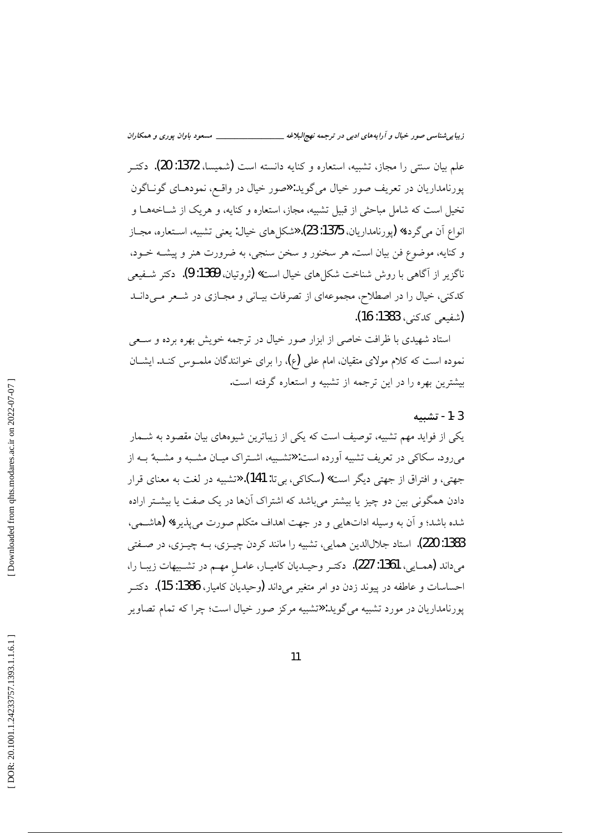علم بيان سنتي را مجاز، تشبيه، استعاره و كنايه دانسته است (شميسا، 1372: 20). دكتـر پورنامداریان در تعریف صور خیال میگوید: «صور خیال در واقع، نمودهـای گونـاگون تخیل است که شامل مباحثی از قبیل تشبیه، مجاز، استعاره و کنایه، و هریک از شــاخههــا و انواع آن مي گردد» (يورنامداريان، 1375: 23). «شكل هاي خيال: يعني تشبيه، اسـتعاره، مجــاز و کنایه، موضوع فن بیان است. هر سخنور و سخن سنجی، به ضرورت هنر و پیشــه خــود، ناگزیر از آگاهی با روش شناخت شکل های خیال است**» (**ثروتیان، **1369: 9).** دکتر شـفیعی کدکنی، خیال را در اصطلاح، مجموعهای از تصرفات بیـانی و مجـازی در شـعر مـیدانــد (شفيعي كدكني، 1383: 16).

استاد شهیدی با ظرافت خاصی از ابزار صور خیال در ترجمه خویش بهره برده و سـعی نموده است که کلام مولای متقیان، امام علی (ع)، را برای خوانندگان ملمـوس کنـد. ایشــان بیشترین بهره را در این ترجمه از تشبیه و استعاره گرفته است.

#### 1-3- تشىيە

یکی از فواید مهم تشبیه، توصیف است که یکی از زیباترین شیوههای بیان مقصود به شــمار می رود. سکاکی در تعریف تشبیه آورده است: «تشـبیه، اشـتراک میـان مشـبه و مشـبهٌ بــه از جهتي، و افتراق از جهتي ديگر است» (سكاكي، بي تا: 141). «تشبيه در لغت به معناي قرار دادن همگونی بین دو چیز یا بیشتر میباشد که اشتراک آنها در یک صفت یا بیشـتر اراده شده باشد؛ و آن به وسیله اداتهایی و در جهت اهداف متکلم صورت می پذیرد**» (**هاشــمی، 1383: 220). استاد جلالالدین همایی، تشبیه را مانند کردن چیــزی، بــه چیــزی، در صــفتی میداند (همـایی، 1361: 227). دکتـر وحیـدیان کامیـار، عامـل مهـم در تشـبیهات زیبـا را، احساسات و عاطفه در پیوند زدن دو امر متغیر میداند (وحیدیان کامیار، 1386: 15). دکتــر پورنامداریان در مورد تشبیه میگوید: «تشبیه مرکز صور خیال است؛ چرا که تمام تصاویر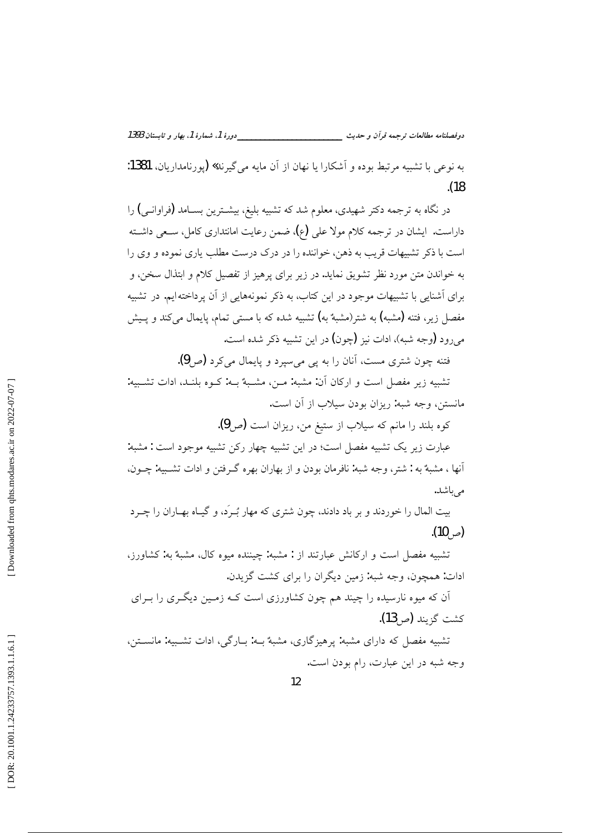\_دورهٔ 1، شمارهٔ 1، بهار و تابستان 1393 دوفصلنامه مطالعات ترجمه قرآن و حديث \_\_\_\_\_\_\_ به نوعي با تشبيه مرتبط بوده و آشكارا يا نهان از آن مايه مي گيرند» (يورنامداريان، 1381:

 $(18)$ 

در نگاه به ترجمه دکتر شهیدی، معلوم شد که تشبیه بلیغ، بیشـترین بســامد (فراوانـی) را داراست. ایشان در ترجمه کلام مولا علی (ع)، ضمن رعایت امانتداری کامل، سـعی داشـته است با ذکر تشبیهات قریب به ذهن، خواننده را در درک درست مطلب پاری نموده و وی را به خواندن متن مورد نظر تشويق نمايد. در زير براي پرهيز از تفصيل كلام و ابتذال سخن، و برای اَشنایی با تشبیهات موجود در این کتاب، به ذکر نمونههایی از اَن پرداخته ایم. در تشبیه مفصل زیر، فتنه (مشبه) به شتر(مشبهٌ به) تشبیه شده که با مستی تمام، یایمال میکند و پـیش مي رود (وجه شبه)، ادات نيز (چون) در اين تشبيه ذكر شده است.

فتنه چون شتری مست، آنان را به یی می سیرد و پایمال می کرد (ص9).

تشبيه زير مفصل است و اركان آن: مشبه: مـن، مشـبهٌ بـه: كـوه بلنـد، ادات تشـبيه: مانستن، وجه شبه: ريزان بودن سيلاب از آن است.

کوه بلند را مانم که سیلاب از ستیغ من، ریزان است (ص9).

عبارت زیر یک تشبیه مفصل است؛ در این تشبیه چهار رکن تشبیه موجود است : مشبه: آنها ، مشبهٌ به : شتر، وجه شبه: نافرمان بودن و از بهاران بهره گـرفتن و ادات تشــييه: چــون، می باشد.

بیت المال را خوردند و بر باد دادند، چون شتری که مهار بُــرَد، و گیــاه بهــاران را چــرد (ص) (10).

تشبیه مفصل است و ارکانش عبارتند از : مشبه: چیننده میوه کال، مشبهٌ به: کشاورز، ادات: همچون، وجه شبه: زمین دیگران را برای کشت گزیدن.

اَن که میوه نارسیده را چیند هم چون کشاورزی است کـه زمـین دیگـری را بـرای كشت گزيند (ص13).

تشبیه مفصل که دارای مشبه: پرهیزگاری، مشبهٔ بـه: بـارگی، ادات تشـبیه: مانسـتن، وجه شبه در این عبارت، رام بودن است.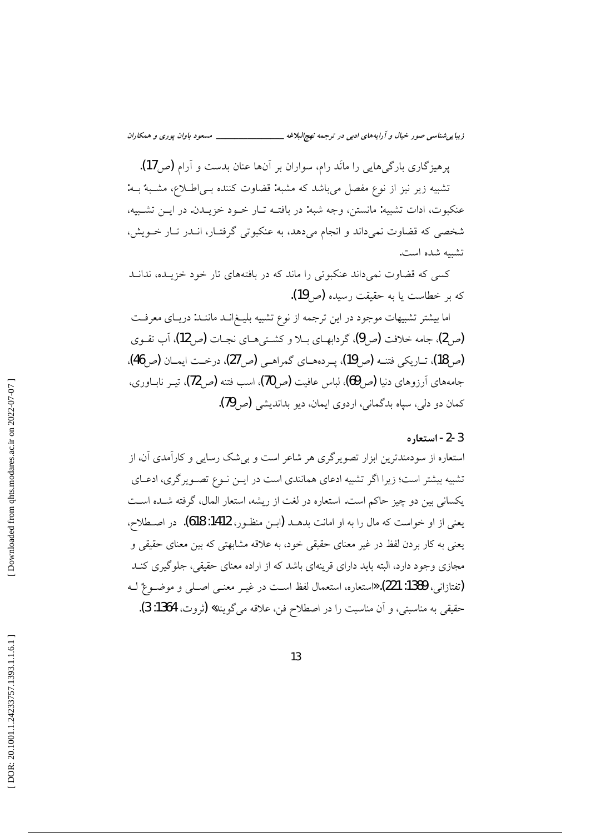زیبایی شناسی صور خیال و آرایههای ادبی در ترجمه نهج لبلاغه \_\_\_\_\_\_\_\_\_\_\_\_\_\_\_\_\_\_\_ مسعود باوان پوری و همکاران

یرهیزگاری بارگی هایی را مانَد رام، سواران بر آنها عنان بدست و آرام (ص17). تشبیه زیر نیز از نوع مفصل میباشد که مشبه: قضاوت کننده بـی|طللاع، مشـبهٌ بـه: عنكبوت، ادات تشبيه: مانستن، وجه شبه: در بافتـه تـار خـود خزيـدن. در ايـن تشـبيه، شخصی که قضاوت نمی داند و انجام می دهد، به عنکبوتی گرفتـار، انــدر تــار خــویش، تشيبه شده است.

کسی که قضاوت نمیداند عنکبوتی را ماند که در بافتههای تار خود خزیـده، ندانـد كه بر خطاست يا به حقيقت رسيده (ص 19).

اما بیشتر تشبیهات موجود در این ترجمه از نوع تشبیه بلیـغ|نــد ماننــد: دریــای معرفــت (ص2)، جامه خلافت (ص9)، گردابهـاي بـلا و كشـتيهـاي نجـات (ص12)، آب تقـوي (ص18)، تباريكي فتنــه (ص19)، يــردههــاي گمراهــي (ص27)، درخــت ايمــان (ص46)، جامههای آرزوهای دنیا (ص9))، لباس عافیت (ص70)، اسب فتنه (ص72)، تیـر نابــاوری، کمان دو دلی، سیاه بدگمانی، اردوی ایمان، دیو بداندیشی (ص 79).

### 3-2- استعاره

استعاره از سودمندترین ابزار تصویرگری هر شاعر است و بی شک رسایی و کارآمدی آن، از تشبیه بیشتر است؛ زیرا اگر تشبیه ادعای همانندی است در ایــن نــوع تصــویر گری، ادعــای یکسانی بین دو چیز حاکم است. استعاره در لغت از ریشه، استعار المال، گرفته شـده اسـت يعني از او خواست كه مال را به او امانت بدهــد (ابــن منظــور، 1412: 618). در اصــطلاح، یعنی به کار بردن لفظ در غیر معنای حقیقی خود، به علاقه مشابهتی که بین معنای حقیقی و مجازی وجود دارد، البته باید دارای قرینهای باشد که از اراده معنای حقیقی، جلوگیری کنـد (تفتازاني، 1389: 221). «استعاره، استعمال لفظ اسـت در غيـر معنــي اصــلي و موضــوعٌ لــه حقيقى به مناسبتى، و آن مناسبت را در اصطلاح فن، علاقه مى گويند» (تروت، 1364: 3).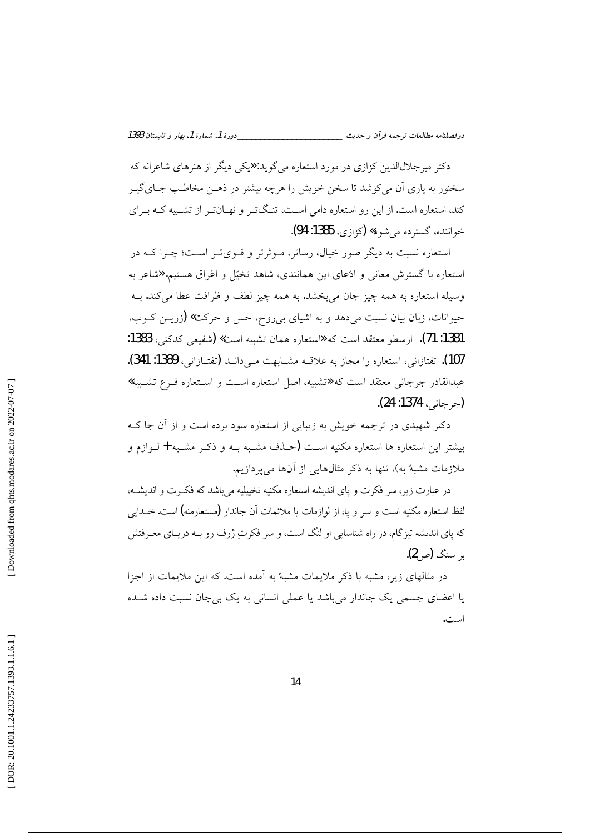\_\_دورهٔ 1، شمارهٔ 1، بهار و تابستان 1393 دوفصلنامه مطالعات ترجمه قرأن و حديث \_\_\_\_\_\_\_\_\_

دکتر میرجلالالدین کزازی در مورد استعاره می گوید: «یکی دیگر از هنرهای شاعرانه که سخنور به یاری آن میکوشد تا سخن خویش را هرچه بیشتر در ذهـن مخاطـب جـایگیـر کند، استعاره است. از این رو استعاره دامی اسـت، تنـگتـر و نهـانتـر از تشـبیه کـه بـرای خواننده، گسترده مي شود» (کزازي، 1385: 94).

استعاره نسبت به دیگر صور خیال، رساتر، مـوثرتر و قــویتــر اســت؛ چــرا کــه در استعاره با گسترش معانی و ادّعای این همانندی، شاهد تخیّل و اغراق هستیم. «شاعر به وسيله استعاره به همه چيز جان مي بخشد. به همه چيز لطف و ظرافت عطا مي كند. بــه حیوانات، زبان بیان نسبت میدهد و به اشیای بیروح، حس و حرکت» (زریـن کـوب، 1381: 71). ارسطو معتقد است كه «استعاره همان تشبيه است» (شفيعي كدكني، 1383: 107). تفتازانی، استعاره را مجاز به علاقــه مشــابهت مــ ٍ دانــد (تفتــازانـي، 1389: 341). عبدالقادر جرجانی معتقد است که «تشبیه، اصل استعاره است و استعاره فـرع تشـبیه» (جرجاني، 1374: 24).

دکتر شهیدی در ترجمه خویش به زیبایی از استعاره سود برده است و از آن جا ک بیشتر این استعاره ها استعاره مکنیه اسـت (حـذف مشـبه بـه و ذکـر مشـبه + لـوازم و ملازمات مشبهٌ به)، تنها به ذکر مثالهایی از آنها می یردازیم.

در عبارت زیر، سر فکرت و یای اندیشه استعاره مکنیه تخییلیه می باشد که فک رت و اندیشــه، لفظ استعاره مکنیه است و سر و پا، از لوازمات یا ملائمات آن جاندار (مستعارمنه) است. خــدای<sub>می</sub> که پای اندیشه تیزگام، در راه شناسایی او لنگ است، و سر فکرتِ ژرف رو بـه دریــای معــرفتش بر سنگ **(**ص2).

در مثالهای زیر، مشبه با ذکر ملایمات مشبهٌ به آمده است. که این ملایمات از اجزا یا اعضای جسمی یک جاندار میباشد یا عملی انسانی به یک بی جان نسبت داده شـده است.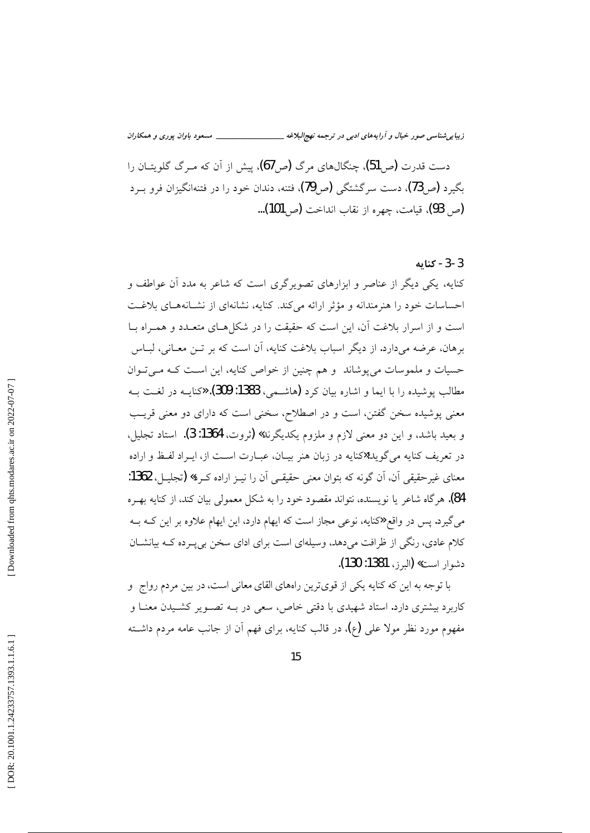زیبایی شناسی صور خیال و آرایههای ادبی در ترجمه نهج البلاغه \_ \_\_\_\_\_ مسعود باوان يوري و همكاران

دست قدرت (ص51)، چنگال&ای مرگ (ص5)، پیش از آن که مـرگ گلویتــان را بگیرد (ص 73)، دست سرگشتگی (صP)، فتنه، دندان خود را در فتنهانگیزان فرو بــرد (ص 93)، قيامت، چهره از نقاب انداخت (ص101)...

### 3-3- كنابه

کنایه، یکی دیگر از عناصر و ابزارهای تصویرگری است که شاعر به مدد آن عواطف و احساسات خود را هنرمندانه و مؤثر ارائه می کند. کنایه، نشانهای از نشـانههـای بلاغـت است و از اسرار بلاغت آن، این است که حقیقت را در شکل هـای متعـدد و همـراه بـا برهان، عرضه میدارد. از دیگر اسباب بلاغت کنایه، آن است که بر تــن معــانی، لبــاس حسیات و ملموسات میپوشاند و هم چنین از خواص کنایه، این است کـه مـیتوان مطالب یوشیده را با ایما و اشاره بیان کرد (هاشـمی، 1383: 309). «کنایــه در لغــت بــه معنی پوشیده سخن گفتن، است و در اصطلاح، سخنی است که دارای دو معنی قریب و بعيد باشد، و اين دو معنى لازم و ملزوم يكديگرند» (ثروت، 1364: 3). استاد تجليل، در تعریف کنایه میگوید:«کنایه در زبان هنر بیـان، عبـارت اسـت از، ایـراد لفـظ و اراده معنای غیرحقیقی آن، آن گونه که بتوان معنی حقیقـی آن را نیـز اراده کـرد» (تجلیـل، 1362: 84). هرگاه شاعر یا نویسنده، نتواند مقصود خود را به شکل معمولی بیان کند، از کنایه بهـره می گیرد. پس در واقع «کنایه، نوعی مجاز است که ایهام دارد، این ایهام علاوه بر این کــه بــه کلام عادی، رنگی از ظرافت می دهد، وسیلهای است برای ادای سخن بی په ده کـه بیانشــان دشوار است» (البرز، 1381: 130).

با توجه به این که کنایه یکی از قویترین راههای القای معانی است، در بین مردم رواج ً و کاربرد بیشتری دارد. استاد شهیدی با دقتی خاص، سعی در بـه تصـویر کشـیدن معنـا و مفهوم مورد نظر مولا علی (ع)، در قالب کنایه، برای فهم آن از جانب عامه مردم داشته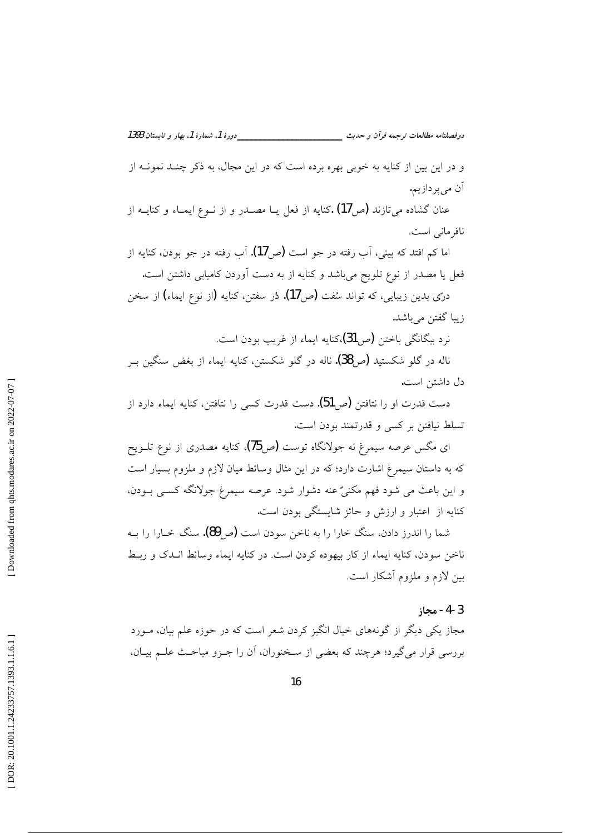\_\_\_\_\_دورهٔ 1، شمارهٔ 1، بهار و تابستان 1393 دوفصلنامه مطالعات ترجمه قرأن و حديث \_\_\_\_\_\_\_\_\_\_ و در این بین از کنایه به خوبی بهره برده است که در این مجال، به ذکر چنـد نمونــه از

اَن م<sub>ي</sub>پردازيم. عنان گشاده می تازند (ص 17) کنایه از فعل یــا مصــدر و از نــوع ایمــاء و کنایــه از

نافر ماني است.

اما کم افتد که بینی، آب رفته در جو است (ص17). آب رفته در جو بودن، کنایه از فعل یا مصدر از نوع تلویح میباشد و کنایه از به دست آوردن کامیابی داشتن است.

درّي بدين زيبايي، كه تواند سُفت (ص17). دُر سفتن، كنايه (از نوع ايماء) از سخن زيبا گفتن ميباشد.

نرد بيگانگي باختن (ص31)،کنايه ايماء از غريب بودن است.

ناله در گلو شکستید (ص38). ناله در گلو شکستن، کنایه ایماء از بغض سنگین بـر دل داشتن است.

دست قدرت او را نتافتن (ص51). دست قدرت کس<sub>ی</sub> را نتافتن، کنایه ایماء دارد از تسلط نیافتن بر کسی و قدرتمند بودن است.

ای مگس عرصه سیمرغ نه جولانگاه توست (ص75). کنایه مصدری از نوع تلــویح که به داستان سیمرغ اشارت دارد؛ که در این مثال وسائط میان لازم و ملزوم بسیار است و این باعث می شود فهم مکنیٌ عنه دشوار شود. عرصه سیمرغ جولانگه کسبی بـودن. کنایه از اعتبار و ارزش و حائز شایستگی بودن است.

شما را اندرز دادن، سنگ خارا را به ناخن سودن است (ص90). سنگ خــارا را بــه ناخن سودن، كنايه ايماء از كار بيهوده كردن است. در كنايه ايماء وسائط انــدك و ربــط بین لازم و ملزوم أشکار است.

#### 3-4- محاز

مجاز یکی دیگر از گونههای خیال انگیز کردن شعر است که در حوزه علم بیان، مــورد بررسی قرار میگیرد؛ هرچند که بعضی از سـخنوران، اَن را جـزو مباحـث علــم بيــان،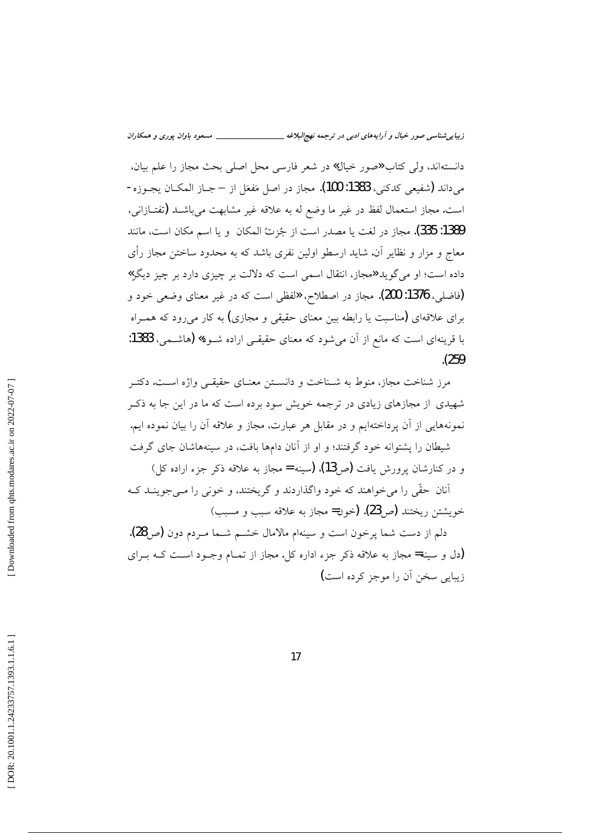دانستهاند، ولي كتاب «صور خيال» در شعر فارسي محل اصلي بحث مجاز را علم بيان، مي<اند (شفيعي كدكني، 1383: 100). مجاز در اصل مَفعَل از – جــاز المكــان يجــوزه-است. مجاز استعمال لفظ در غير ما وضع له به علاقه غير مشابهت مي باشـد (تفتــازاني، 1389: 335). مجاز در لغت يا مصدر است از جُزتُ المكان و يا اسم مكان است، مانند معاج و مزار و نظایر آن. شاید ارسطو اولین نفری باشد که به محدود ساختن مجاز رأی داده است؛ او می گوید «مجاز، انتقال اسمی است که دلالت بر چیزی دارد بر چیز دیگر » (فاضلي، 1376: 200). مجاز در اصطلاح، «لفظي است كه در غير معناي وضعي خود و برای علاقهای (مناسبت یا رابطه بین معنای حقیقی و مجازی) به کار میرود که همـراه با قرینهای است که مانع از آن میشود که معنای حقیقے اراده شـود**» (**هاشـمی، 1383:  $(259)$ 

مرز شناخت مجاز، منوط به شـناخت و دانســتن معنــای حقیقــی واژه اســت. دکتــر شهیدی از مجازهای زیادی در ترجمه خویش سود برده است که ما در این جا به ذکـر نمونههایی از آن پرداختهایم و در مقابل هر عبارت، مجاز و علاقه آن را بیان نموده ایم. شیطان را پشتوانه خود گرفتند؛ و او از آنان دامها بافت، در سینههاشان جای گرفت

و در کنارشان پرورش یافت (ص13). (سینه = مجاز به علاقه ذکر جزء اراده کل) أنان حقّی را می خواهند که خود واگذاردند و گریختند، و خونی را مـی جوینــد کــه

خويشتن ريختند (ص23). (خون= مجاز به علاقه سبب و مسبب)

دلم از دست شما پرخون است و سینهام مالامال خشــم شــما مـردم دون (ص28). (دل و سینه= مجاز به علاقه ذکر جزء اداره کل. مجاز از تمـام وجـود اسـت کـه بـرای زیبایی سخن آن را موجز کرده است)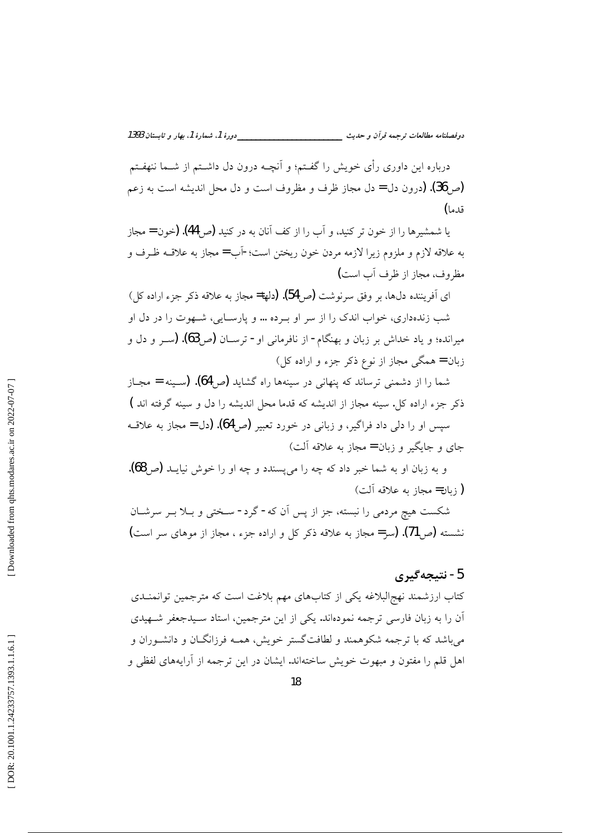\_\_دورهٔ 1، شمارهٔ 1، بهار و تابستان 1393 دوفصلنامه مطالعات ترجمه قرأن و حديث \_\_\_\_\_\_\_\_

درباره این داوری رأی خویش را گفـتم؛ و اَنچــه درون دل داشــتم از شــما ننهفـتم (ص 36). (درون دل = دل مجاز ظرف و مظروف است و دل محل اندیشه است به زعم قدما)

با شمشیرها را از خون تر کنید، و آب را از کف آنان به در کنید (ص 44). (خون = مجاز به علاقه لازم و ملزوم زيرا لازمه مردن خون ريختن است؛-اَب = مجاز به علاقــه ظـرف و مظروف، مجاز از ظرف أب است)

ای آفریننده دل،ها، بر وفق سرنوشت (ص54). (دلها= مجاز به علاقه ذکر جزء اراده کل) شب زندهداری، خواب اندک را از سر او بـرده … و پارسـایی، شـهوت را در دل او میرانده؛ و یاد خداش بر زبان و بهنگام- از نافرمانی او- ترســان (ص96). (ســر و دل و زبان = همگی مجاز از نوع ذکر جزء و اراده کل)

شما را از دشمنی ترساند که پنهانی در سینهها راه گشاید (ص64). (سـینه = مجـاز ذکر جزء اراده کل. سینه مجاز از اندیشه که قدما محل اندیشه را دل و سینه گرفته اند ) سپس او را دل<sub>ی</sub> داد فراگیر، و زبانی در خورد تعبیر (ص4**6). (**دل = مجاز به علاقــه جای و جایگیر و زبان = مجاز به علاقه آلت)

و به زبان او به شما خبر داد که چه را می¤سندد و چه او را خوش نیایــد (ص68). (زبان= مجاز به علاقه آلت)

شکست هیچ مردمی را نبسته، جز از پس آن که- گرد- سـختی و بــلا بــر سرشــان نشسته (ص71). (سر= مجاز به علاقه ذکر کل و اراده جزء ، مجاز از موهای سر است)

# 5- نتيجەگيرى

کتاب ارزشمند نهج البلاغه یکی از کتابهای مهم بلاغت است که مترجمین توانمنــدی اّن را به زبان فارسی ترجمه نمودهاند. یکی از این مترجمین، استاد سـیدجعفر شـهیدی می باشد که با ترجمه شکوهمند و لطافتگستر خویش، همـه فرزانگــان و دانشــوران و اهل قلم را مفتون و مبهوت خویش ساختهاند. ایشان در این ترجمه از آرایههای لفظی و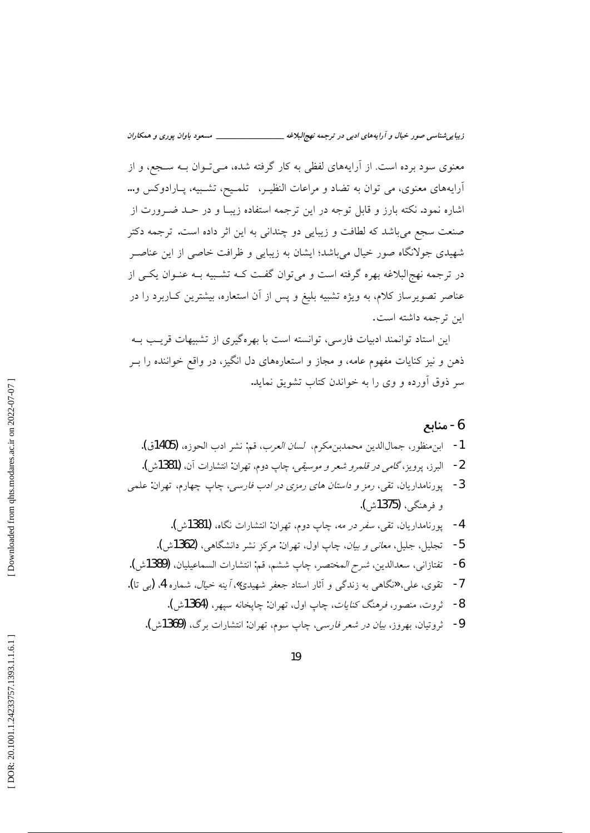معنوی سود برده است. از آرایههای لفظی به کار گرفته شده، مـیتوان بــه ســجع، و از آرایههای معنوی، می توان به تضاد و مراعات النظیـر، تلمـیح، تشـبیه، پـارادوکس و… اشاره نمود. نکته بارز و قابل توجه در این ترجمه استفاده زیبـا و در حــد ضــرورت از صنعت سجع مي باشد كه لطافت و زيبايي دو چنداني به اين اثر داده است. ترجمه دكتر شهیدی جولانگاه صور خیال می باشد؛ ایشان به زیبایی و ظرافت خاصی از این عناصـر در ترجمه نهج|لبلاغه بهره گرفته است و میتوان گفت کـه تشـبیه بـه عنـوان یکـی از عناصر تصویرساز کلام، به ویژه تشبیه بلیغ و پس از آن استعاره، بیشترین کـاربرد را در ابن ترجمه داشته است.

این استاد توانمند ادبیات فارسی، توانسته است با بهرهگیری از تشبیهات قریب بـه ذهن و نیز کنایات مفهوم عامه، و مجاز و استعارههای دل انگیز، در واقع خواننده را بـر سر ذوق اَورده و وی را به خواندن کتاب تشویق نماید.

# 6- منابع

- 1- ابنِ منظور، جمال|لدين محمدبنِ مكرم، *لسان العرب*، قم: نشر ادب الحوزه، (1405ق). 2- البرز، يرويز، *گامي در قلمرو شعر و موسيقي،* چاپ دوم، تهران: انتشارات آن، **(1381**ش). 3- يورنامداريان، تقي، ر*مز و داستان هاي رمزي در ادب فارسي*، چاپ چهارم، تهران: علمي و فرهنگي، **(1375**ش). 4- پورنامداریان، تقی، *سفر در مه،* چاپ دوم، تهران: انتشارات نگاه، (1381ش).
- 5- تجلیل، جلیل، *معانی و بیان*، چاپ اول، تهران: مرکز نشر دانشگاهی، (1362ش). تفتازاني، سعدالدين، *شرح المختصر*، چاپ ششم، قم: انتشارات السماعيليان، (1389ش). -6 7- تقوى، علي، «نگاهي به زندگي و آثار استاد جعفر شهيدي»، *آينه خيال،* شماره 4، (پ<sub>ي</sub> تا).
	- 8- ثروت، منصور، فرهنگ كن*ايات*، چاپ اول، تهران: چايخانه سيهر، (1364ش).
	- 9- ثروتيان، بهروز، *بيان در شعر فارسي*، چاپ سوم، تهران: انتشارات برگ، (1369ش).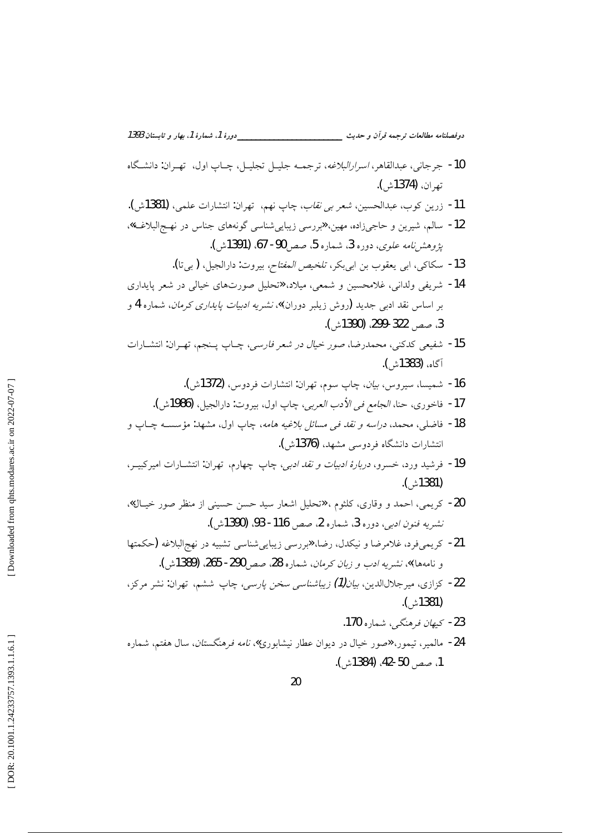دوفصلنامه مطالعات ترجمه قرآن و حديث \_\_\_\_\_\_\_\_\_\_\_\_\_\_\_\_\_\_\_\_\_\_\_\_\_\_\_\_\_\_\_\_دورة 1، شمارة 1، بهار و تابستان 1393

- 10- جرجاني، عبدالقاهر، *اسرارالبلاغه*، ترجمــه جليــل تجليــل، چــاپ اول، تهــران: دانشــگاه تھ ان، (1374ش).
- 11- زرين كوب، عبدالحسين، *شعر بي نقاب*، چاپ نهم، تهران: انتشارات علمي، (1381ش).
- 12- سالم، شیرین و حاجیزاده، مهین، «بررسی زیباییشناسی گونههای جناس در نهـجالبلاغـه»، يژوهش *نامه علوي، دو*ره 3، شماره 5، صص 90- 67، (1391ش).
	- 13- سكاكي، ابي يعقوب بن ابي بكر، *تلخيص المفتاح،* بيروت: دارالجيل، (بي تا**).**
- 14- شریفی ولدانی، غلامحسین و شمعی، میلاد، «تحلیل صورتهای خیالی در شعر پایداری بر اساس نقد ادبی جدید (روش زیلبر دوران)»، *نشریه ادبیات پایداری کرمان*، شماره **4** و 3، صص 322-299. (1390ش).
- 15- شفيعي كدكني، محمدرضا، صور *خيال در شعر فارسي*، چــاپ پــنجم، تهـران: انتشــارات آگاه، (1383ْشْ ).
	- 16- شمسا، سيروس، بي*ان*، جاب سوم، تهران: انتشارات فردوس، (1372ش).
	- 17- فاخوري، حنا، الجامع في الأدب العربي، چاپ اول، بيروت: دارالجيل، (1986ش).
- 18- فاضلي، محمد، *دراسه و نقد في مسائل بلاغيه هامه*، چاپ اول، مشهد: مؤسســه چــاپ و انتشارات دانشگاه فردوسی مشهد، (1376ش).
- 19- فرشید ورد، خسرو، *دربارهٔ ادبیات و نقد ادبی،* چاپ چهارم، تهران: انتشارات امیرکبیــر، (1381ْش).
- 20- کریمی، احمد و وقاری، کلثوم ، «تحلیل اشعار سید حسن حسینی از منظر صور خیـال». نشريه فنون ادبي، دوره 3، شماره 2، صص 116- 93، (1390ش).
- 21- كريمي فرد، غلامرضا و نيكدل، رضا، «بررسي زيبايي شناسي تشبيه در نهج|لبلاغه (حكمتها و نامهها)»، نشريه ادب و زبان كرمان، شماره 28، صص 290- 265. (1389ش).
- 22- كزازى، ميرجلالالدين، *بيان(1) زيباشناسي سخن پارسي،* چاپ ششم، تهران: نشر مركز، (1381ش).
	- 23- *كىھان فرهنگے ، ش*مارہ 170.
- 24- مالمیر، تیمور، «صور خیال در دیوان عطار نیشابوری»، *نامه فرهنگستان*، سال هفتم، شماره 1، صص 50-42، (1384ش).